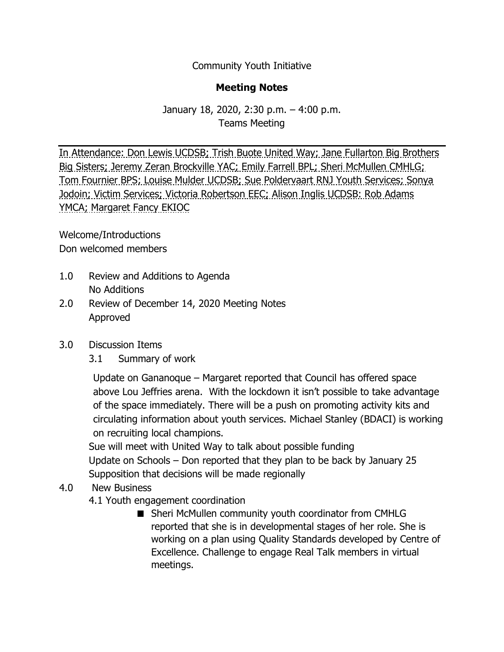Community Youth Initiative

## **Meeting Notes**

## January 18, 2020, 2:30 p.m. – 4:00 p.m. Teams Meeting

In Attendance: Don Lewis UCDSB; Trish Buote United Way; Jane Fullarton Big Brothers Big Sisters; Jeremy Zeran Brockville YAC; Emily Farrell BPL; Sheri McMullen CMHLG; Tom Fournier BPS; Louise Mulder UCDSB; Sue Poldervaart RNJ Youth Services; Sonya Jodoin; Victim Services; Victoria Robertson EEC; Alison Inglis UCDSB: Rob Adams YMCA; Margaret Fancy EKIOC

Welcome/Introductions Don welcomed members

- 1.0 Review and Additions to Agenda No Additions
- 2.0 Review of December 14, 2020 Meeting Notes Approved

## 3.0 Discussion Items

3.1 Summary of work

 Update on Gananoque – Margaret reported that Council has offered space above Lou Jeffries arena. With the lockdown it isn't possible to take advantage of the space immediately. There will be a push on promoting activity kits and circulating information about youth services. Michael Stanley (BDACI) is working on recruiting local champions.

Sue will meet with United Way to talk about possible funding Update on Schools – Don reported that they plan to be back by January 25 Supposition that decisions will be made regionally

## 4.0 New Business

- 4.1 Youth engagement coordination
	- Sheri McMullen community youth coordinator from CMHLG reported that she is in developmental stages of her role. She is working on a plan using Quality Standards developed by Centre of Excellence. Challenge to engage Real Talk members in virtual meetings.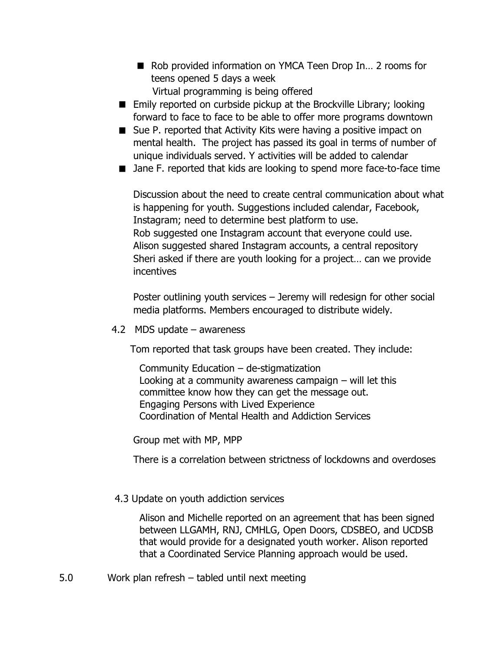- Rob provided information on YMCA Teen Drop In... 2 rooms for teens opened 5 days a week Virtual programming is being offered
- Emily reported on curbside pickup at the Brockville Library; looking forward to face to face to be able to offer more programs downtown
- Sue P. reported that Activity Kits were having a positive impact on mental health. The project has passed its goal in terms of number of unique individuals served. Y activities will be added to calendar
- Jane F. reported that kids are looking to spend more face-to-face time

Discussion about the need to create central communication about what is happening for youth. Suggestions included calendar, Facebook, Instagram; need to determine best platform to use. Rob suggested one Instagram account that everyone could use. Alison suggested shared Instagram accounts, a central repository Sheri asked if there are youth looking for a project… can we provide incentives

Poster outlining youth services – Jeremy will redesign for other social media platforms. Members encouraged to distribute widely.

4.2 MDS update – awareness

Tom reported that task groups have been created. They include:

 Community Education – de-stigmatization Looking at a community awareness campaign – will let this committee know how they can get the message out. Engaging Persons with Lived Experience Coordination of Mental Health and Addiction Services

Group met with MP, MPP

There is a correlation between strictness of lockdowns and overdoses

4.3 Update on youth addiction services

 Alison and Michelle reported on an agreement that has been signed between LLGAMH, RNJ, CMHLG, Open Doors, CDSBEO, and UCDSB that would provide for a designated youth worker. Alison reported that a Coordinated Service Planning approach would be used.

5.0 Work plan refresh – tabled until next meeting